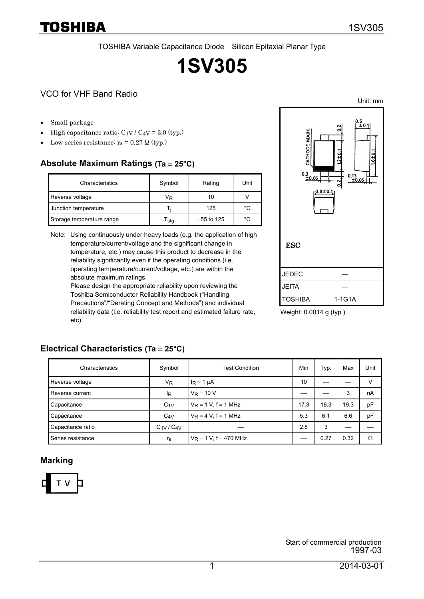TOSHIBA Variable Capacitance Diode Silicon Epitaxial Planar Type

# **1SV305**

#### VCO for VHF Band Radio

• Small package

Toshiba

- High capacitance ratio:  $C_{1V}$  /  $C_{4V}$  = 3.0 (typ.)
- Low series resistance:  $r_s = 0.27 \Omega$  (typ.)

#### **Absolute Maximum Ratings (Ta** = **25°C)**

| Characteristics           | Symbol | Rating       | Unit |
|---------------------------|--------|--------------|------|
| Reverse voltage           | VŖ     | 10           |      |
| Junction temperature      |        | 125          | °C   |
| Storage temperature range | sta    | $-55$ to 125 | °C   |

Note: Using continuously under heavy loads (e.g. the application of high temperature/current/voltage and the significant change in temperature, etc.) may cause this product to decrease in the reliability significantly even if the operating conditions (i.e. operating temperature/current/voltage, etc.) are within the absolute maximum ratings.

Please design the appropriate reliability upon reviewing the Toshiba Semiconductor Reliability Handbook ("Handling Precautions"/"Derating Concept and Methods") and individual reliability data (i.e. reliability test report and estimated failure rate, etc).



Weight: 0.0014 g (typ.)

| Characteristics   | Symbol          | <b>Test Condition</b>     | Min  | Typ. | Max  | Unit   |
|-------------------|-----------------|---------------------------|------|------|------|--------|
| Reverse voltage   | $V_{R}$         | $I_R = 1 \mu A$           | 10   |      |      | $\vee$ |
| Reverse current   | <sup>I</sup> R  | $V_R = 10 V$              |      |      | 3    | nA     |
| Capacitance       | $C_{1V}$        | $V_R = 1 V$ , f = 1 MHz   | 17.3 | 18.3 | 19.3 | pF     |
| Capacitance       | $C_{4V}$        | $V_R = 4 V$ , f = 1 MHz   | 5.3  | 6.1  | 6.6  | рF     |
| Capacitance ratio | $C_{1V}/C_{4V}$ |                           | 2.8  | 3    |      |        |
| Series resistance | $r_{\rm S}$     | $V_R = 1 V$ , f = 470 MHz |      | 0.27 | 0.32 | Ω      |

## **Electrical Characteristics (Ta** = **25°C)**

#### **Marking**



Unit: mm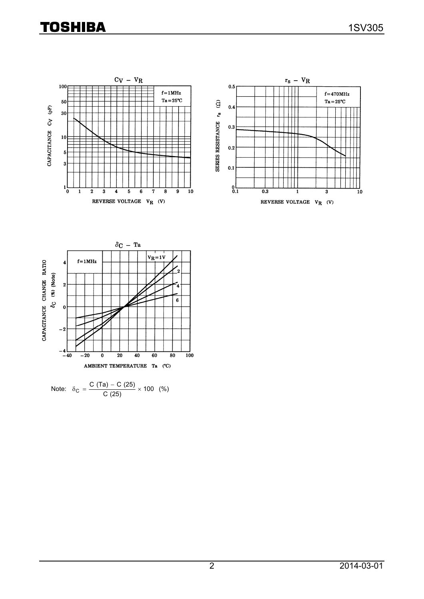# **TOSHIBA**